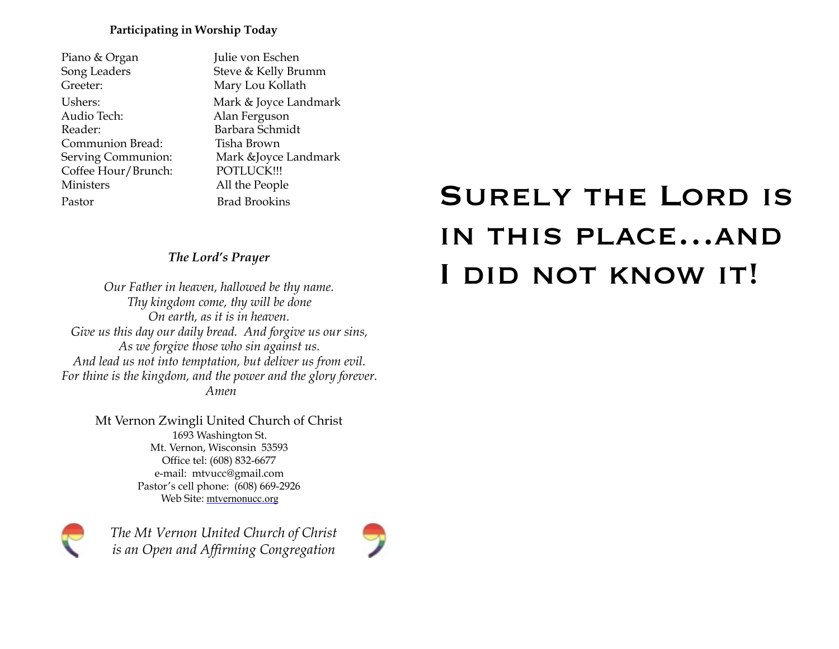#### **Participating in Worship Today**

| Piano & Organ       |
|---------------------|
| Song Leaders        |
| Greeter:            |
| Ushers:             |
| Audio Tech:         |
| Reader:             |
| Communion Bread:    |
| Serving Communion:  |
| Coffee Hour/Brunch: |
| Ministers           |
| Pastor              |
|                     |

**Lulie von Eschen** Steve & Kelly Brumm Mary Lou Kollath Mark & Joyce Landmark Alan Ferguson Barbara Schmidt Tisha Brown Mark &Joyce Landmark POTLUCK!!! All the People **Brad Brookins** 

## *The Lord's Prayer*

*Our Father in heaven, hallowed be thy name. Thy kingdom come, thy will be done On earth, as it is in heaven. Give us this day our daily bread. And forgive us our sins, As we forgive those who sin against us. And lead us not into temptation, but deliver us from evil. For thine is the kingdom, and the power and the glory forever. Amen* 

> Mt Vernon Zwingli United Church of Christ 1693 Washington St. Mt. Vernon, Wisconsin 53593 Office tel: (608) 832-6677 e-mail: mtvucc@gmail.com Pastor's cell phone: (608) 669-2926 Web Site: [mtvernonucc.org](http://mtvernonucc.org)



*The Mt Vernon United Church of Christ is an Open and Affirming Congregation*



# Surely the Lord is in this place…and I did not know it!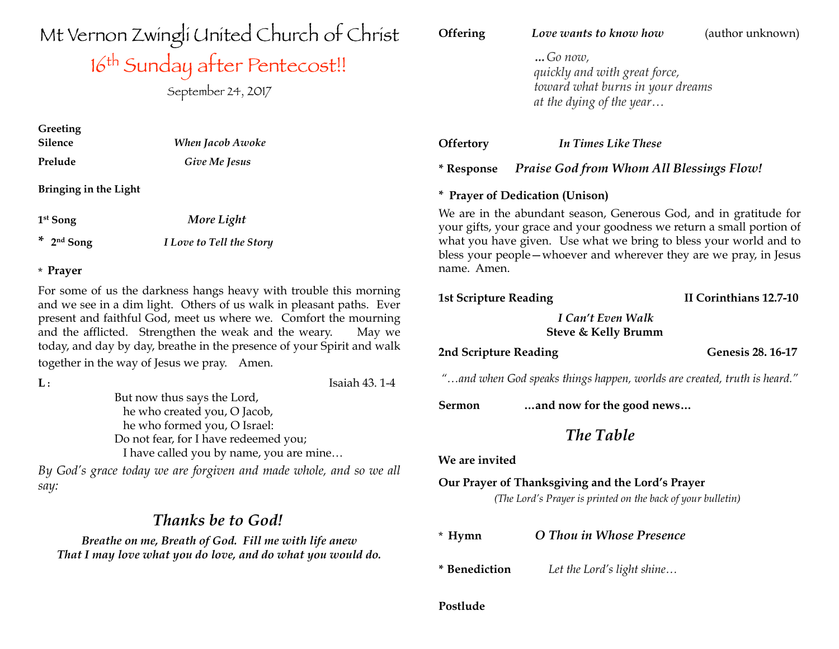Mt Vernon Zwingli United Church of Christ

## 16<sup>th</sup> Sunday atter Pentecost!!

September 24, 2017

| Greeting |                         |  |
|----------|-------------------------|--|
| Silence  | <b>When Jacob Awoke</b> |  |
| Prelude  | Give Me Jesus           |  |

**Bringing in the Light**

**1st Song** *More Light*

**\* 2nd Song** *I Love to Tell the Story* 

#### \* **Prayer**

For some of us the darkness hangs heavy with trouble this morning and we see in a dim light. Others of us walk in pleasant paths. Ever present and faithful God, meet us where we. Comfort the mourning and the afflicted. Strengthen the weak and the weary. May we today, and day by day, breathe in the presence of your Spirit and walk together in the way of Jesus we pray. Amen.

| ${\bf L}$ :                                                        | Isaiah 43.1-4 |
|--------------------------------------------------------------------|---------------|
| But now thus says the Lord,                                        |               |
| he who created you, O Jacob,                                       |               |
| he who formed you, O Israel:                                       |               |
| Do not fear, for I have redeemed you;                              |               |
| I have called you by name, you are mine                            |               |
| By God's grace today we are forgiven and made whole, and so we all |               |

*say:* 

## *Thanks be to God!*

*Breathe on me, Breath of God. Fill me with life anew That I may love what you do love, and do what you would do.*

| Offering                     | Love wants to know how                                                                                                                                                                                                                                                                 | (author unknown)       |
|------------------------------|----------------------------------------------------------------------------------------------------------------------------------------------------------------------------------------------------------------------------------------------------------------------------------------|------------------------|
|                              | $$ Go now,<br>quickly and with great force,<br>toward what burns in your dreams<br>at the dying of the year                                                                                                                                                                            |                        |
| <b>Offertory</b>             | In Times Like These                                                                                                                                                                                                                                                                    |                        |
| <i>*</i> Response            | <b>Praise God from Whom All Blessings Flow!</b>                                                                                                                                                                                                                                        |                        |
|                              | * Prayer of Dedication (Unison)                                                                                                                                                                                                                                                        |                        |
| name. Amen.                  | We are in the abundant season, Generous God, and in gratitude for<br>your gifts, your grace and your goodness we return a small portion of<br>what you have given. Use what we bring to bless your world and to<br>bless your people – whoever and wherever they are we pray, in Jesus |                        |
| <b>1st Scripture Reading</b> |                                                                                                                                                                                                                                                                                        | II Corinthians 12.7-10 |
|                              | I Can't Even Walk<br>Steve & Kelly Brumm                                                                                                                                                                                                                                               |                        |
| 2nd Scripture Reading        |                                                                                                                                                                                                                                                                                        | Genesis 28. 16-17      |
|                              | "and when God speaks things happen, worlds are created, truth is heard."                                                                                                                                                                                                               |                        |
| Sermon                       | and now for the good news                                                                                                                                                                                                                                                              |                        |
|                              | <b>The Table</b>                                                                                                                                                                                                                                                                       |                        |
| We are invited               |                                                                                                                                                                                                                                                                                        |                        |
|                              | Our Prayer of Thanksgiving and the Lord's Prayer<br>(The Lord's Prayer is printed on the back of your bulletin)                                                                                                                                                                        |                        |
| $*$ Hymn                     | O Thou in Whose Presence                                                                                                                                                                                                                                                               |                        |
| * Benediction                | Let the Lord's light shine                                                                                                                                                                                                                                                             |                        |
| Postlude                     |                                                                                                                                                                                                                                                                                        |                        |
|                              |                                                                                                                                                                                                                                                                                        |                        |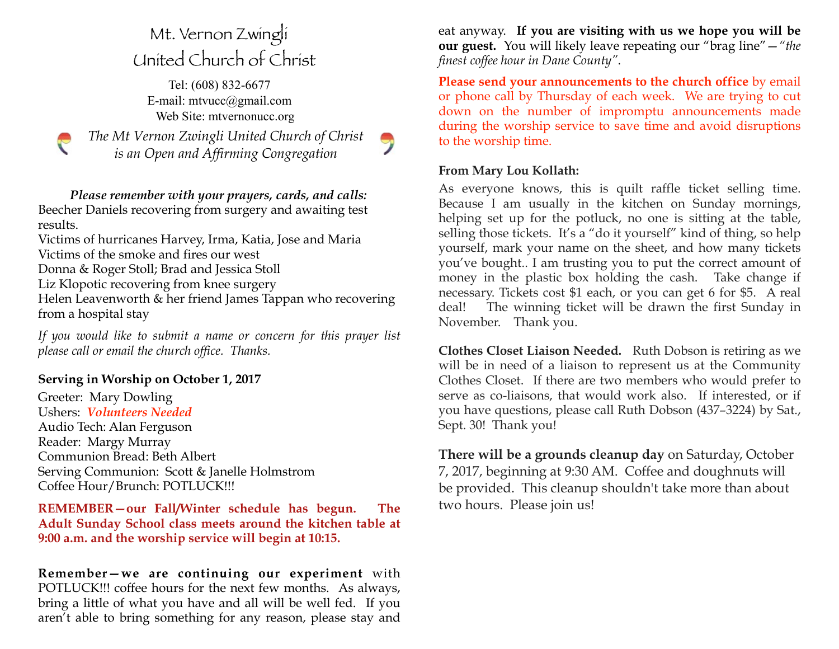## Mt. Vernon Zwingli United Church of Christ

Tel: (608) 832-6677 E-mail: [mtvucc@gmail.com](mailto:mtvucc@gmail.com) Web Site: [mtvernonucc.org](http://mtvernonucc.org)

*The Mt Vernon Zwingli United Church of Christ is an Open and Affirming Congregation* 

 *Please remember with your prayers, cards, and calls:*  Beecher Daniels recovering from surgery and awaiting test results.

Victims of hurricanes Harvey, Irma, Katia, Jose and Maria Victims of the smoke and fires our west Donna & Roger Stoll; Brad and Jessica Stoll

Liz Klopotic recovering from knee surgery

 $\mathcal C$ 

Helen Leavenworth & her friend James Tappan who recovering from a hospital stay

*If you would like to submit a name or concern for this prayer list please call or email the church office. Thanks.*

## **Serving in Worship on October 1, 2017**

Greeter: Mary Dowling Ushers: *Volunteers Needed* Audio Tech: Alan Ferguson Reader: Margy Murray Communion Bread: Beth Albert Serving Communion: Scott & Janelle Holmstrom Coffee Hour/Brunch: POTLUCK!!!

**REMEMBER—our Fall/Winter schedule has begun. The Adult Sunday School class meets around the kitchen table at 9:00 a.m. and the worship service will begin at 10:15.** 

**Remember—we are continuing our experiment** with POTLUCK!!! coffee hours for the next few months. As always, bring a little of what you have and all will be well fed. If you aren't able to bring something for any reason, please stay and

eat anyway. **If you are visiting with us we hope you will be our guest.** You will likely leave repeating our "brag line"—*"the finest coffee hour in Dane County"*.

**Please send your announcements to the church office** by email or phone call by Thursday of each week. We are trying to cut down on the number of impromptu announcements made during the worship service to save time and avoid disruptions to the worship time.

### **From Mary Lou Kollath:**

As everyone knows, this is quilt raffle ticket selling time. Because I am usually in the kitchen on Sunday mornings, helping set up for the potluck, no one is sitting at the table, selling those tickets. It's a "do it yourself" kind of thing, so help yourself, mark your name on the sheet, and how many tickets you've bought.. I am trusting you to put the correct amount of money in the plastic box holding the cash. Take change if necessary. Tickets cost \$1 each, or you can get 6 for \$5. A real deal! The winning ticket will be drawn the first Sunday in November. Thank you.

**Clothes Closet Liaison Needed.** Ruth Dobson is retiring as we will be in need of a liaison to represent us at the Community Clothes Closet. If there are two members who would prefer to serve as co-liaisons, that would work also. If interested, or if you have questions, please call Ruth Dobson (437–3224) by Sat., Sept. 30! Thank you!

**There will be a grounds cleanup day** on Saturday, October 7, 2017, beginning at 9:30 AM. Coffee and doughnuts will be provided. This cleanup shouldn't take more than about two hours. Please join us!